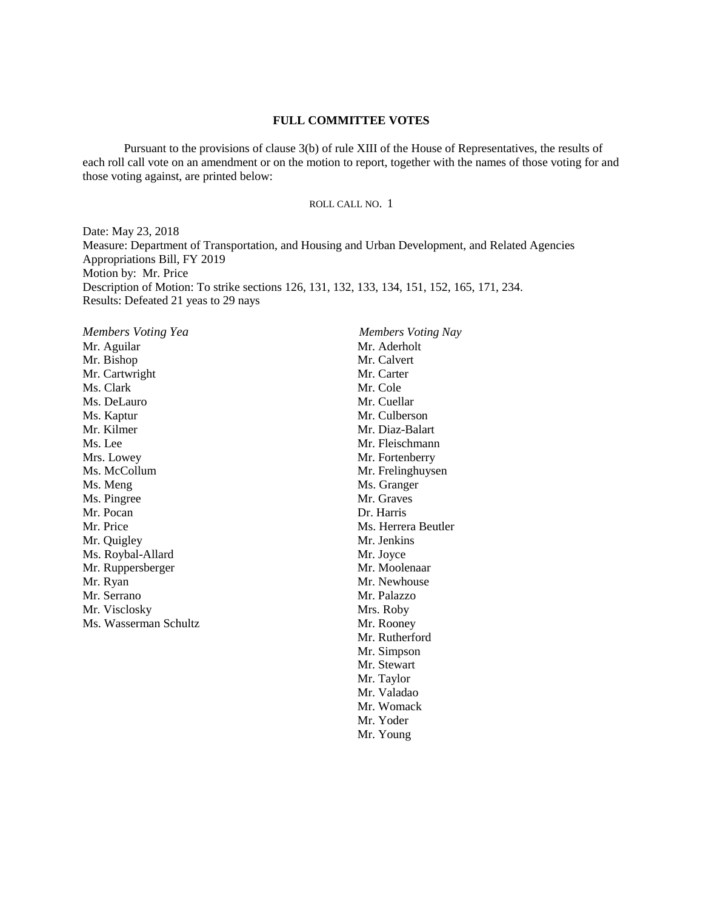Pursuant to the provisions of clause 3(b) of rule XIII of the House of Representatives, the results of each roll call vote on an amendment or on the motion to report, together with the names of those voting for and those voting against, are printed below:

#### ROLL CALL NO. 1

Date: May 23, 2018 Measure: Department of Transportation, and Housing and Urban Development, and Related Agencies Appropriations Bill, FY 2019 Motion by: Mr. Price Description of Motion: To strike sections 126, 131, 132, 133, 134, 151, 152, 165, 171, 234. Results: Defeated 21 yeas to 29 nays

Mr. Aguilar Mr. Bishop Mr. Cartwright Ms. Clark Ms. DeLauro Ms. Kaptur Mr. Kilmer Ms. Lee Mrs. Lowey Ms. McCollum Ms. Meng Ms. Pingree Mr. Pocan Mr. Price Mr. Quigley Ms. Roybal-Allard Mr. Ruppersberger Mr. Ryan Mr. Serrano Mr. Visclosky Ms. Wasserman Schultz

*Members Voting Yea Members Voting Nay* Mr. Aderholt Mr. Calvert Mr. Carter Mr. Cole Mr. Cuellar Mr. Culberson Mr. Diaz-Balart Mr. Fleischmann Mr. Fortenberry Mr. Frelinghuysen Ms. Granger Mr. Graves Dr. Harris Ms. Herrera Beutler Mr. Jenkins Mr. Joyce Mr. Moolenaar Mr. Newhouse Mr. Palazzo Mrs. Roby Mr. Rooney Mr. Rutherford Mr. Simpson Mr. Stewart Mr. Taylor Mr. Valadao Mr. Womack Mr. Yoder Mr. Young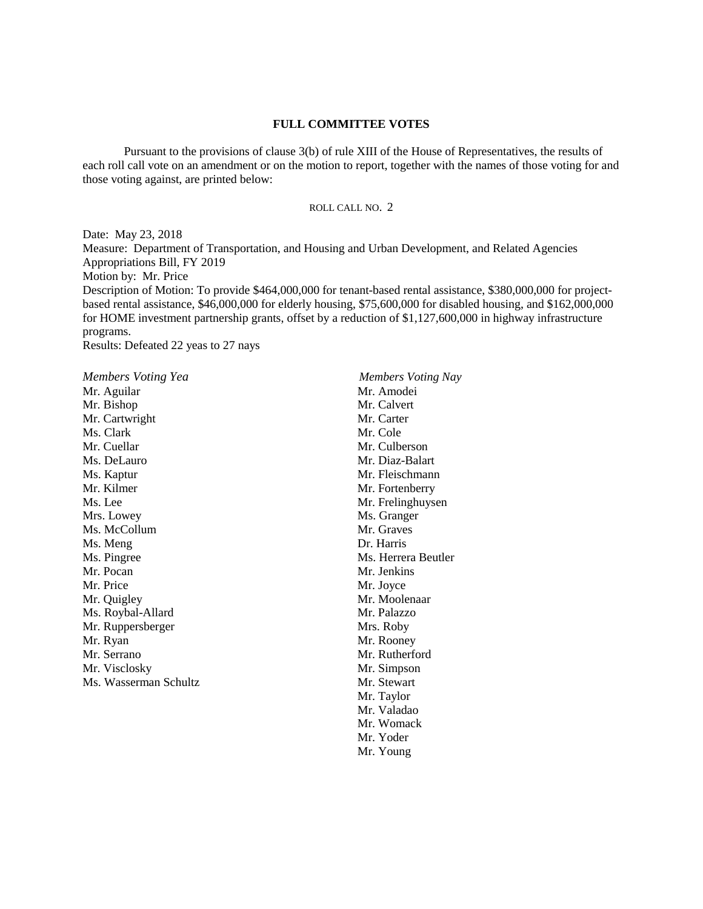Pursuant to the provisions of clause 3(b) of rule XIII of the House of Representatives, the results of each roll call vote on an amendment or on the motion to report, together with the names of those voting for and those voting against, are printed below:

#### ROLL CALL NO. 2

Date: May 23, 2018 Measure: Department of Transportation, and Housing and Urban Development, and Related Agencies Appropriations Bill, FY 2019 Motion by: Mr. Price Description of Motion: To provide \$464,000,000 for tenant-based rental assistance, \$380,000,000 for projectbased rental assistance, \$46,000,000 for elderly housing, \$75,600,000 for disabled housing, and \$162,000,000 for HOME investment partnership grants, offset by a reduction of \$1,127,600,000 in highway infrastructure programs. Results: Defeated 22 yeas to 27 nays

*Members Voting Yea Members Voting Nay* Mr. Aguilar Mr. Bishop Mr. Cartwright Ms. Clark Mr. Cuellar Ms. DeLauro Ms. Kaptur Mr. Kilmer Ms. Lee Mrs. Lowey Ms. McCollum Ms. Meng Ms. Pingree Mr. Pocan Mr. Price Mr. Quigley Ms. Roybal-Allard Mr. Ruppersberger Mr. Ryan Mr. Serrano Mr. Visclosky Ms. Wasserman Schultz

Mr. Amodei Mr. Calvert Mr. Carter Mr. Cole Mr. Culberson Mr. Diaz-Balart Mr. Fleischmann Mr. Fortenberry Mr. Frelinghuysen Ms. Granger Mr. Graves Dr. Harris Ms. Herrera Beutler Mr. Jenkins Mr. Joyce Mr. Moolenaar Mr. Palazzo Mrs. Roby Mr. Rooney Mr. Rutherford Mr. Simpson Mr. Stewart Mr. Taylor Mr. Valadao Mr. Womack Mr. Yoder Mr. Young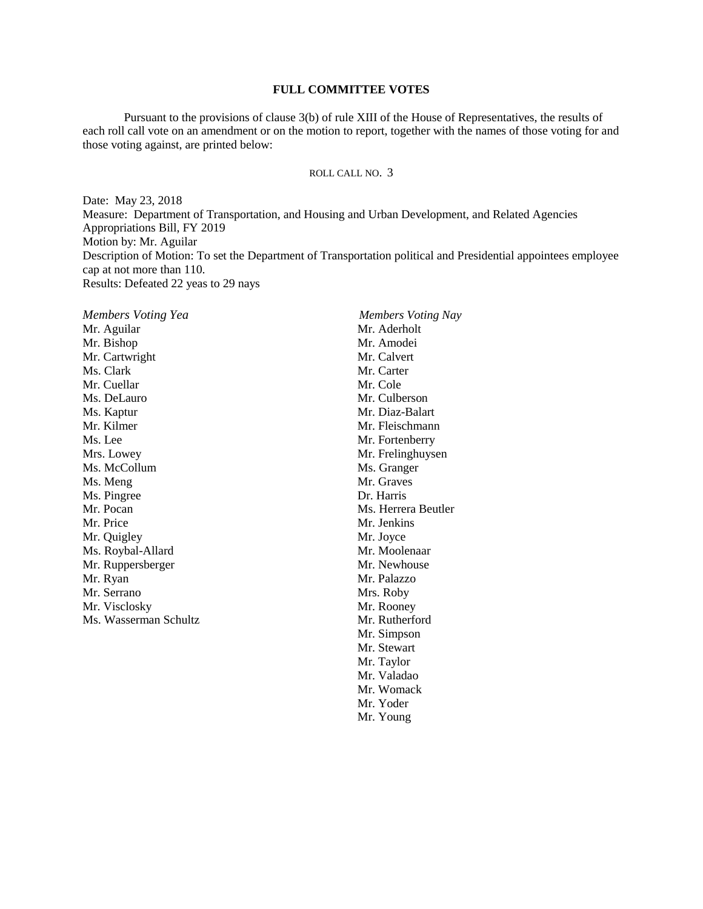Pursuant to the provisions of clause 3(b) of rule XIII of the House of Representatives, the results of each roll call vote on an amendment or on the motion to report, together with the names of those voting for and those voting against, are printed below:

## ROLL CALL NO. 3

Date: May 23, 2018 Measure: Department of Transportation, and Housing and Urban Development, and Related Agencies Appropriations Bill, FY 2019 Motion by: Mr. Aguilar Description of Motion: To set the Department of Transportation political and Presidential appointees employee cap at not more than 110. Results: Defeated 22 yeas to 29 nays

*Members Voting Yea Members Voting Nay* Mr. Aguilar Mr. Bishop Mr. Cartwright Ms. Clark Mr. Cuellar Ms. DeLauro Ms. Kaptur Mr. Kilmer Ms. Lee Mrs. Lowey Ms. McCollum Ms. Meng Ms. Pingree Mr. Pocan Mr. Price Mr. Quigley Ms. Roybal-Allard Mr. Ruppersberger Mr. Ryan Mr. Serrano Mr. Visclosky Ms. Wasserman Schultz Mr. Aderholt Mr. Amodei Mr. Calvert Mr. Carter Mr. Cole Mr. Culberson Mr. Diaz-Balart Mr. Fleischmann Mr. Fortenberry Mr. Frelinghuysen Ms. Granger Mr. Graves Dr. Harris Ms. Herrera Beutler Mr. Jenkins Mr. Joyce Mr. Moolenaar Mr. Newhouse Mr. Palazzo Mrs. Roby Mr. Rooney Mr. Rutherford Mr. Simpson Mr. Stewart Mr. Taylor Mr. Valadao Mr. Womack

Mr. Yoder

Mr. Young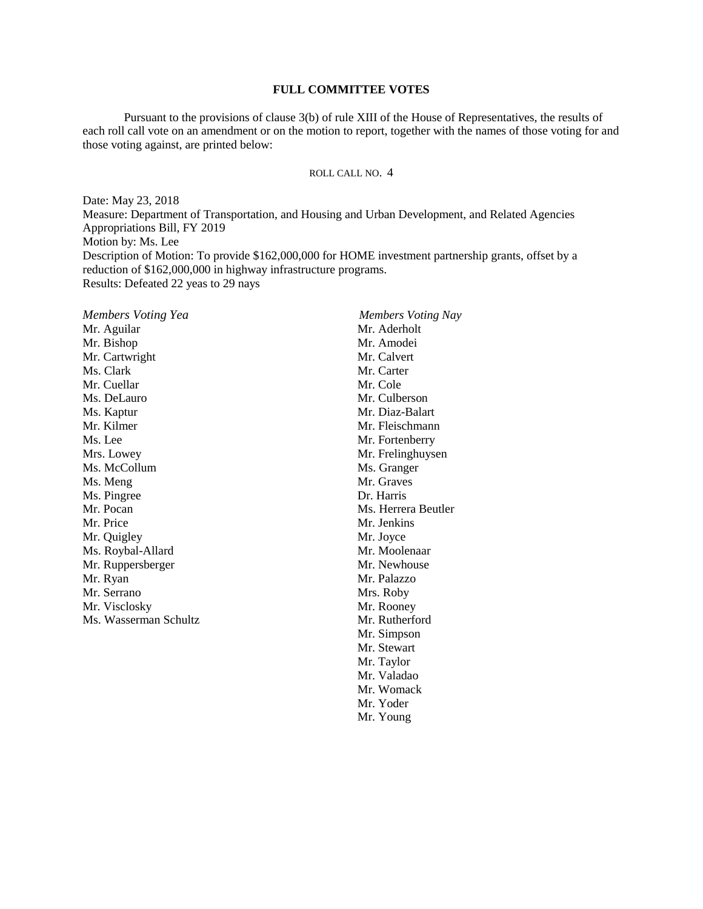Pursuant to the provisions of clause 3(b) of rule XIII of the House of Representatives, the results of each roll call vote on an amendment or on the motion to report, together with the names of those voting for and those voting against, are printed below:

## ROLL CALL NO. 4

Date: May 23, 2018 Measure: Department of Transportation, and Housing and Urban Development, and Related Agencies Appropriations Bill, FY 2019 Motion by: Ms. Lee Description of Motion: To provide \$162,000,000 for HOME investment partnership grants, offset by a reduction of \$162,000,000 in highway infrastructure programs. Results: Defeated 22 yeas to 29 nays

*Members Voting Yea Members Voting Nay* Mr. Aguilar Mr. Bishop Mr. Cartwright Ms. Clark Mr. Cuellar Ms. DeLauro Ms. Kaptur Mr. Kilmer Ms. Lee Mrs. Lowey Ms. McCollum Ms. Meng Ms. Pingree Mr. Pocan Mr. Price Mr. Quigley Ms. Roybal-Allard Mr. Ruppersberger Mr. Ryan Mr. Serrano Mr. Visclosky Ms. Wasserman Schultz Mr. Aderholt Mr. Amodei Mr. Calvert Mr. Carter Mr. Cole Mr. Culberson Mr. Diaz-Balart Mr. Fleischmann Mr. Fortenberry Mr. Frelinghuysen Ms. Granger Mr. Graves Dr. Harris Ms. Herrera Beutler Mr. Jenkins Mr. Joyce Mr. Moolenaar Mr. Newhouse Mr. Palazzo Mrs. Roby Mr. Rooney Mr. Rutherford Mr. Simpson Mr. Stewart Mr. Taylor Mr. Valadao

Mr. Womack Mr. Yoder

Mr. Young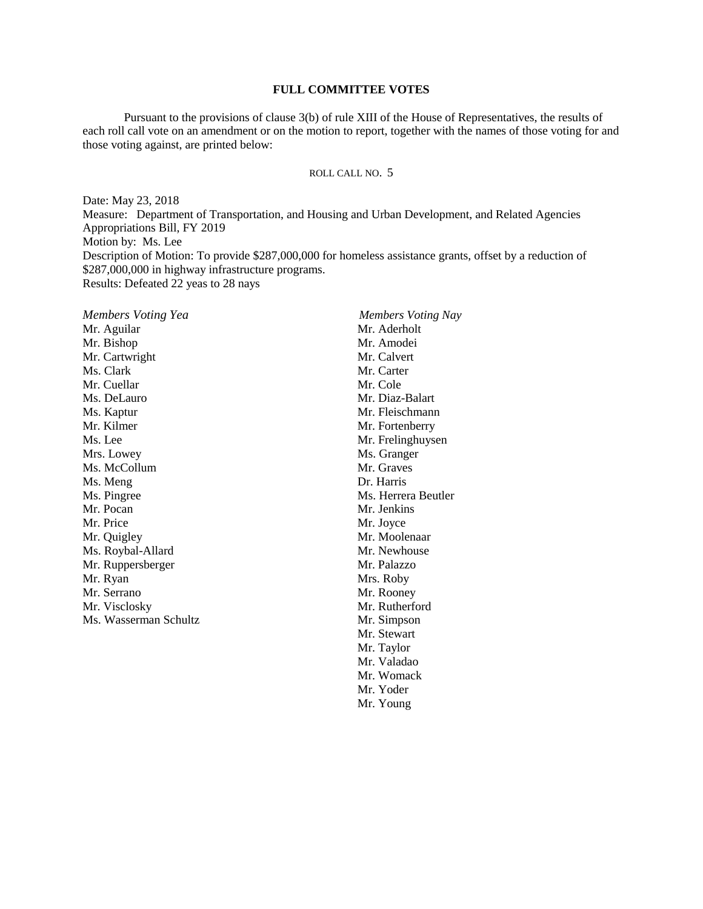Pursuant to the provisions of clause 3(b) of rule XIII of the House of Representatives, the results of each roll call vote on an amendment or on the motion to report, together with the names of those voting for and those voting against, are printed below:

## ROLL CALL NO. 5

Mr. Young

Date: May 23, 2018 Measure: Department of Transportation, and Housing and Urban Development, and Related Agencies Appropriations Bill, FY 2019 Motion by: Ms. Lee Description of Motion: To provide \$287,000,000 for homeless assistance grants, offset by a reduction of \$287,000,000 in highway infrastructure programs. Results: Defeated 22 yeas to 28 nays

| Members Voting Yea    | Members Voting Nay  |
|-----------------------|---------------------|
| Mr. Aguilar           | Mr. Aderholt        |
| Mr. Bishop            | Mr. Amodei          |
| Mr. Cartwright        | Mr. Calvert         |
| Ms. Clark             | Mr. Carter          |
| Mr. Cuellar           | Mr. Cole            |
| Ms. DeLauro           | Mr. Diaz-Balart     |
| Ms. Kaptur            | Mr. Fleischmann     |
| Mr. Kilmer            | Mr. Fortenberry     |
| Ms. Lee               | Mr. Frelinghuysen   |
| Mrs. Lowey            | Ms. Granger         |
| Ms. McCollum          | Mr. Graves          |
| Ms. Meng              | Dr. Harris          |
| Ms. Pingree           | Ms. Herrera Beutler |
| Mr. Pocan             | Mr. Jenkins         |
| Mr. Price             | Mr. Joyce           |
| Mr. Quigley           | Mr. Moolenaar       |
| Ms. Roybal-Allard     | Mr. Newhouse        |
| Mr. Ruppersberger     | Mr. Palazzo         |
| Mr. Ryan              | Mrs. Roby           |
| Mr. Serrano           | Mr. Rooney          |
| Mr. Visclosky         | Mr. Rutherford      |
| Ms. Wasserman Schultz | Mr. Simpson         |
|                       | Mr. Stewart         |
|                       | Mr. Taylor          |
|                       | Mr. Valadao         |
|                       | Mr. Womack          |
|                       | Mr. Yoder           |